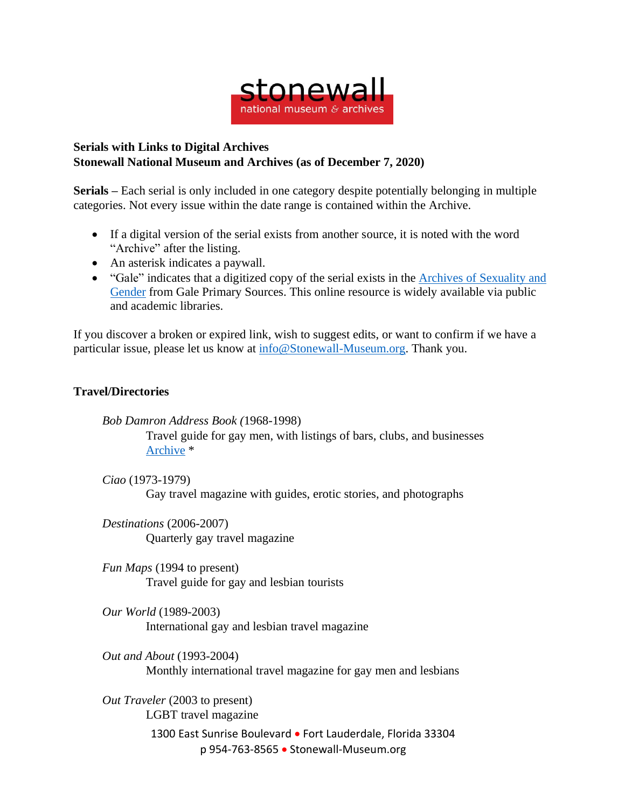

## **Serials with Links to Digital Archives Stonewall National Museum and Archives (as of December 7, 2020)**

**Serials –** Each serial is only included in one category despite potentially belonging in multiple categories. Not every issue within the date range is contained within the Archive.

- If a digital version of the serial exists from another source, it is noted with the word "Archive" after the listing.
- An asterisk indicates a paywall.
- "Gale" indicates that a digitized copy of the serial exists in the Archives of [Sexuality](https://www.gale.com/primary-sources/archives-of-sexuality-and-gender) and [Gender](https://www.gale.com/primary-sources/archives-of-sexuality-and-gender) from Gale Primary Sources. This online resource is widely available via public and academic libraries.

If you discover a broken or expired link, wish to suggest edits, or want to confirm if we have a particular issue, please let us know at [info@Stonewall-Museum.org.](mailto:info@Stonewall-Museum.org) Thank you.

## **Travel/Directories**

*Bob Damron Address Book (*1968-1998) Travel guide for gay men, with listings of bars, clubs, and businesses [Archive](https://search.alexanderstreet.com/browse/archive-material?ff%5B0%5D=archive_collection_provenance_facet%3ABob%20Damron%20Papers) \*

*Ciao* (1973-1979) Gay travel magazine with guides, erotic stories, and photographs

*Destinations* (2006-2007) Quarterly gay travel magazine

*Fun Maps* (1994 to present) Travel guide for gay and lesbian tourists

*Our World* (1989-2003) International gay and lesbian travel magazine

*Out and About* (1993-2004) Monthly international travel magazine for gay men and lesbians

1300 East Sunrise Boulevard • Fort Lauderdale, Florida 33304 p 954-763-8565 • Stonewall-Museum.org *Out Traveler* (2003 to present) LGBT travel magazine